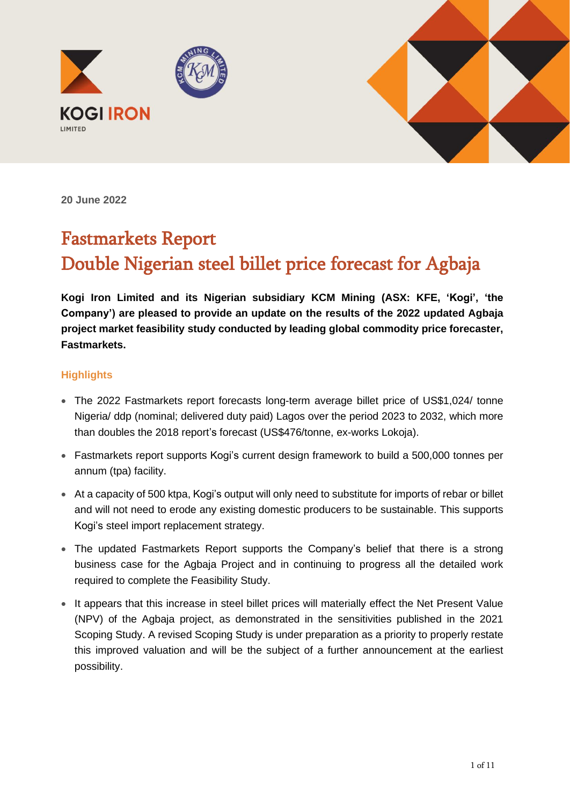



**20 June 2022**

# Fastmarkets Report Double Nigerian steel billet price forecast for Agbaja

**Kogi Iron Limited and its Nigerian subsidiary KCM Mining (ASX: KFE, 'Kogi', 'the Company') are pleased to provide an update on the results of the 2022 updated Agbaja project market feasibility study conducted by leading global commodity price forecaster, Fastmarkets.**

#### **Highlights**

- The 2022 Fastmarkets report forecasts long-term average billet price of US\$1,024/ tonne Nigeria/ ddp (nominal; delivered duty paid) Lagos over the period 2023 to 2032, which more than doubles the 2018 report's forecast (US\$476/tonne, ex-works Lokoja).
- Fastmarkets report supports Kogi's current design framework to build a 500,000 tonnes per annum (tpa) facility.
- At a capacity of 500 ktpa, Kogi's output will only need to substitute for imports of rebar or billet and will not need to erode any existing domestic producers to be sustainable. This supports Kogi's steel import replacement strategy.
- The updated Fastmarkets Report supports the Company's belief that there is a strong business case for the Agbaja Project and in continuing to progress all the detailed work required to complete the Feasibility Study.
- It appears that this increase in steel billet prices will materially effect the Net Present Value (NPV) of the Agbaja project, as demonstrated in the sensitivities published in the 2021 Scoping Study. A revised Scoping Study is under preparation as a priority to properly restate this improved valuation and will be the subject of a further announcement at the earliest possibility.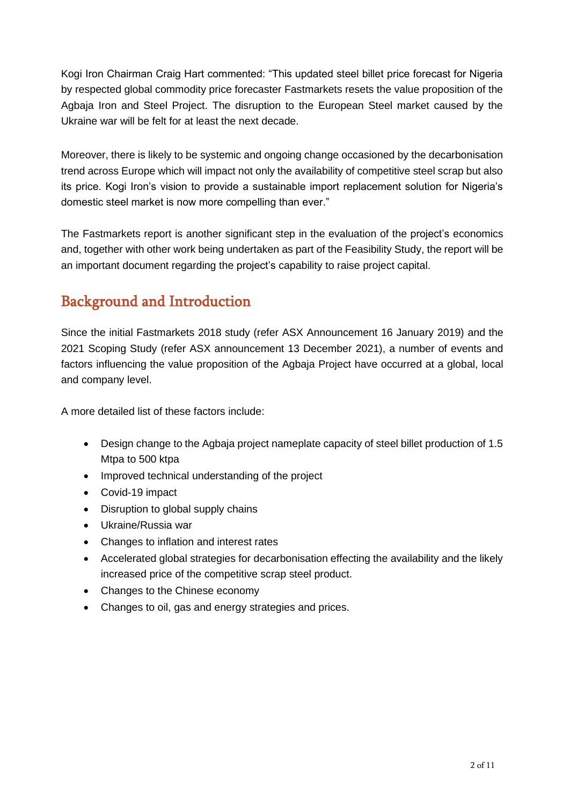Kogi Iron Chairman Craig Hart commented: "This updated steel billet price forecast for Nigeria by respected global commodity price forecaster Fastmarkets resets the value proposition of the Agbaja Iron and Steel Project. The disruption to the European Steel market caused by the Ukraine war will be felt for at least the next decade.

Moreover, there is likely to be systemic and ongoing change occasioned by the decarbonisation trend across Europe which will impact not only the availability of competitive steel scrap but also its price. Kogi Iron's vision to provide a sustainable import replacement solution for Nigeria's domestic steel market is now more compelling than ever."

The Fastmarkets report is another significant step in the evaluation of the project's economics and, together with other work being undertaken as part of the Feasibility Study, the report will be an important document regarding the project's capability to raise project capital.

# Background and Introduction

Since the initial Fastmarkets 2018 study (refer ASX Announcement 16 January 2019) and the 2021 Scoping Study (refer ASX announcement 13 December 2021), a number of events and factors influencing the value proposition of the Agbaja Project have occurred at a global, local and company level.

A more detailed list of these factors include:

- Design change to the Agbaja project nameplate capacity of steel billet production of 1.5 Mtpa to 500 ktpa
- Improved technical understanding of the project
- Covid-19 impact
- Disruption to global supply chains
- Ukraine/Russia war
- Changes to inflation and interest rates
- Accelerated global strategies for decarbonisation effecting the availability and the likely increased price of the competitive scrap steel product.
- Changes to the Chinese economy
- Changes to oil, gas and energy strategies and prices.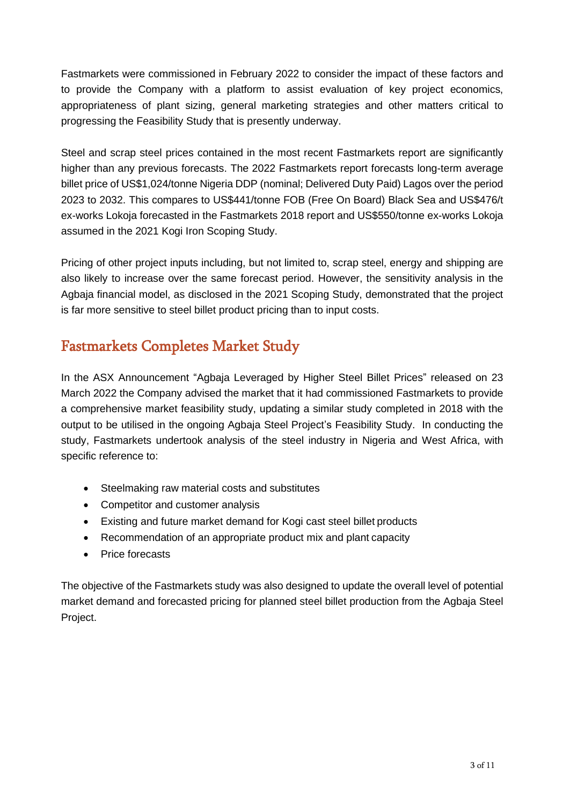Fastmarkets were commissioned in February 2022 to consider the impact of these factors and to provide the Company with a platform to assist evaluation of key project economics, appropriateness of plant sizing, general marketing strategies and other matters critical to progressing the Feasibility Study that is presently underway.

Steel and scrap steel prices contained in the most recent Fastmarkets report are significantly higher than any previous forecasts. The 2022 Fastmarkets report forecasts long-term average billet price of US\$1,024/tonne Nigeria DDP (nominal; Delivered Duty Paid) Lagos over the period 2023 to 2032. This compares to US\$441/tonne FOB (Free On Board) Black Sea and US\$476/t ex-works Lokoja forecasted in the Fastmarkets 2018 report and US\$550/tonne ex-works Lokoja assumed in the 2021 Kogi Iron Scoping Study.

Pricing of other project inputs including, but not limited to, scrap steel, energy and shipping are also likely to increase over the same forecast period. However, the sensitivity analysis in the Agbaja financial model, as disclosed in the 2021 Scoping Study, demonstrated that the project is far more sensitive to steel billet product pricing than to input costs.

### Fastmarkets Completes Market Study

In the ASX Announcement "Agbaja Leveraged by Higher Steel Billet Prices" released on 23 March 2022 the Company advised the market that it had commissioned Fastmarkets to provide a comprehensive market feasibility study, updating a similar study completed in 2018 with the output to be utilised in the ongoing Agbaja Steel Project's Feasibility Study. In conducting the study, Fastmarkets undertook analysis of the steel industry in Nigeria and West Africa, with specific reference to:

- Steelmaking raw material costs and substitutes
- Competitor and customer analysis
- Existing and future market demand for Kogi cast steel billet products
- Recommendation of an appropriate product mix and plant capacity
- Price forecasts

The objective of the Fastmarkets study was also designed to update the overall level of potential market demand and forecasted pricing for planned steel billet production from the Agbaja Steel Project.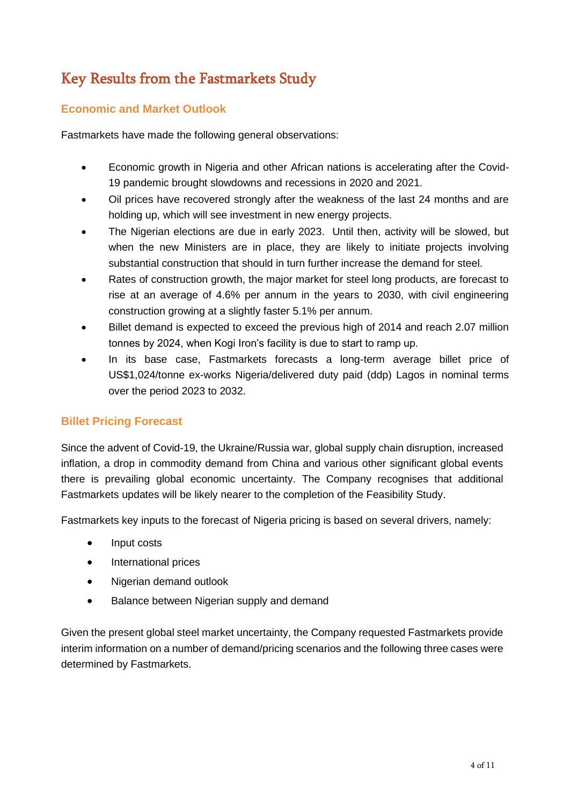# Key Results from the Fastmarkets Study

#### **Economic and Market Outlook**

Fastmarkets have made the following general observations:

- Economic growth in Nigeria and other African nations is accelerating after the Covid-19 pandemic brought slowdowns and recessions in 2020 and 2021.
- Oil prices have recovered strongly after the weakness of the last 24 months and are holding up, which will see investment in new energy projects.
- The Nigerian elections are due in early 2023. Until then, activity will be slowed, but when the new Ministers are in place, they are likely to initiate projects involving substantial construction that should in turn further increase the demand for steel.
- Rates of construction growth, the major market for steel long products, are forecast to rise at an average of 4.6% per annum in the years to 2030, with civil engineering construction growing at a slightly faster 5.1% per annum.
- Billet demand is expected to exceed the previous high of 2014 and reach 2.07 million tonnes by 2024, when Kogi Iron's facility is due to start to ramp up.
- In its base case, Fastmarkets forecasts a long-term average billet price of US\$1,024/tonne ex-works Nigeria/delivered duty paid (ddp) Lagos in nominal terms over the period 2023 to 2032.

#### **Billet Pricing Forecast**

Since the advent of Covid-19, the Ukraine/Russia war, global supply chain disruption, increased inflation, a drop in commodity demand from China and various other significant global events there is prevailing global economic uncertainty. The Company recognises that additional Fastmarkets updates will be likely nearer to the completion of the Feasibility Study.

Fastmarkets key inputs to the forecast of Nigeria pricing is based on several drivers, namely:

- Input costs
- International prices
- Nigerian demand outlook
- Balance between Nigerian supply and demand

Given the present global steel market uncertainty, the Company requested Fastmarkets provide interim information on a number of demand/pricing scenarios and the following three cases were determined by Fastmarkets.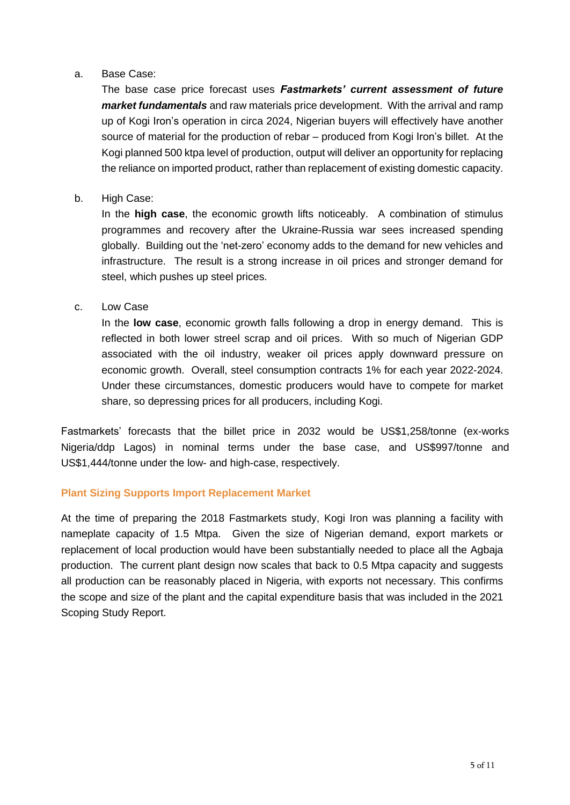#### a. Base Case:

The base case price forecast uses *Fastmarkets' current assessment of future market fundamentals* and raw materials price development. With the arrival and ramp up of Kogi Iron's operation in circa 2024, Nigerian buyers will effectively have another source of material for the production of rebar – produced from Kogi Iron's billet. At the Kogi planned 500 ktpa level of production, output will deliver an opportunity for replacing the reliance on imported product, rather than replacement of existing domestic capacity.

#### b. High Case:

In the **high case**, the economic growth lifts noticeably. A combination of stimulus programmes and recovery after the Ukraine-Russia war sees increased spending globally. Building out the 'net-zero' economy adds to the demand for new vehicles and infrastructure. The result is a strong increase in oil prices and stronger demand for steel, which pushes up steel prices.

#### c. Low Case

In the **low case**, economic growth falls following a drop in energy demand. This is reflected in both lower streel scrap and oil prices. With so much of Nigerian GDP associated with the oil industry, weaker oil prices apply downward pressure on economic growth. Overall, steel consumption contracts 1% for each year 2022-2024. Under these circumstances, domestic producers would have to compete for market share, so depressing prices for all producers, including Kogi.

Fastmarkets' forecasts that the billet price in 2032 would be US\$1,258/tonne (ex-works Nigeria/ddp Lagos) in nominal terms under the base case, and US\$997/tonne and US\$1,444/tonne under the low- and high-case, respectively.

#### **Plant Sizing Supports Import Replacement Market**

At the time of preparing the 2018 Fastmarkets study, Kogi Iron was planning a facility with nameplate capacity of 1.5 Mtpa. Given the size of Nigerian demand, export markets or replacement of local production would have been substantially needed to place all the Agbaja production. The current plant design now scales that back to 0.5 Mtpa capacity and suggests all production can be reasonably placed in Nigeria, with exports not necessary. This confirms the scope and size of the plant and the capital expenditure basis that was included in the 2021 Scoping Study Report.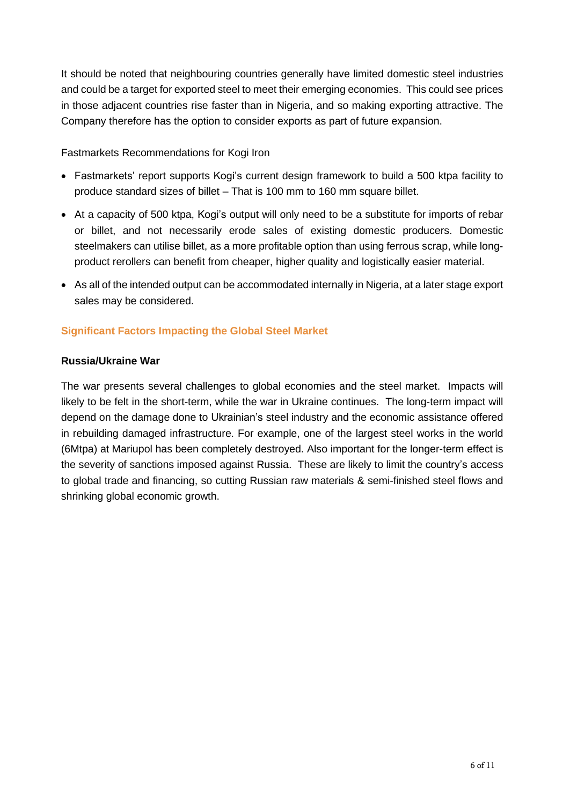It should be noted that neighbouring countries generally have limited domestic steel industries and could be a target for exported steel to meet their emerging economies. This could see prices in those adjacent countries rise faster than in Nigeria, and so making exporting attractive. The Company therefore has the option to consider exports as part of future expansion.

Fastmarkets Recommendations for Kogi Iron

- Fastmarkets' report supports Kogi's current design framework to build a 500 ktpa facility to produce standard sizes of billet – That is 100 mm to 160 mm square billet.
- At a capacity of 500 ktpa, Kogi's output will only need to be a substitute for imports of rebar or billet, and not necessarily erode sales of existing domestic producers. Domestic steelmakers can utilise billet, as a more profitable option than using ferrous scrap, while longproduct rerollers can benefit from cheaper, higher quality and logistically easier material.
- As all of the intended output can be accommodated internally in Nigeria, at a later stage export sales may be considered.

#### **Significant Factors Impacting the Global Steel Market**

#### **Russia/Ukraine War**

The war presents several challenges to global economies and the steel market. Impacts will likely to be felt in the short-term, while the war in Ukraine continues. The long-term impact will depend on the damage done to Ukrainian's steel industry and the economic assistance offered in rebuilding damaged infrastructure. For example, one of the largest steel works in the world (6Mtpa) at Mariupol has been completely destroyed. Also important for the longer-term effect is the severity of sanctions imposed against Russia. These are likely to limit the country's access to global trade and financing, so cutting Russian raw materials & semi-finished steel flows and shrinking global economic growth.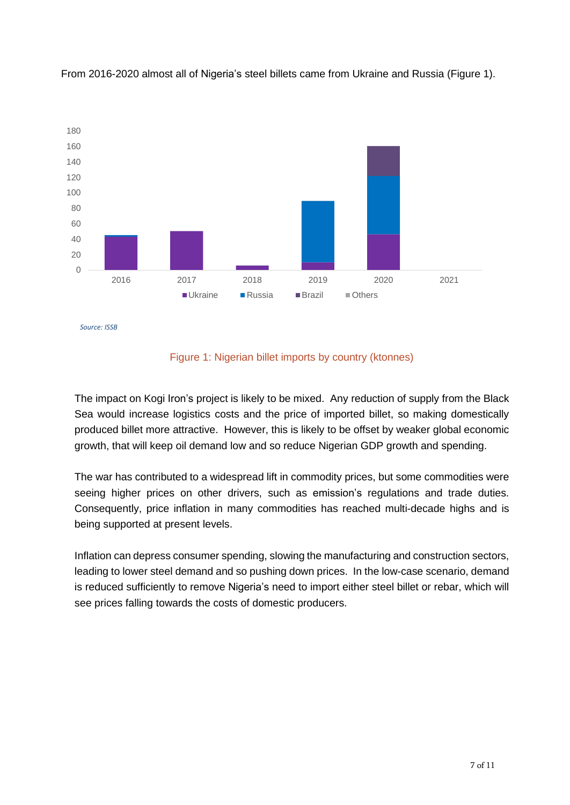

From 2016-2020 almost all of Nigeria's steel billets came from Ukraine and Russia (Figure 1).



The impact on Kogi Iron's project is likely to be mixed. Any reduction of supply from the Black Sea would increase logistics costs and the price of imported billet, so making domestically produced billet more attractive. However, this is likely to be offset by weaker global economic growth, that will keep oil demand low and so reduce Nigerian GDP growth and spending.

The war has contributed to a widespread lift in commodity prices, but some commodities were seeing higher prices on other drivers, such as emission's regulations and trade duties. Consequently, price inflation in many commodities has reached multi-decade highs and is being supported at present levels.

Inflation can depress consumer spending, slowing the manufacturing and construction sectors, leading to lower steel demand and so pushing down prices. In the low-case scenario, demand is reduced sufficiently to remove Nigeria's need to import either steel billet or rebar, which will see prices falling towards the costs of domestic producers.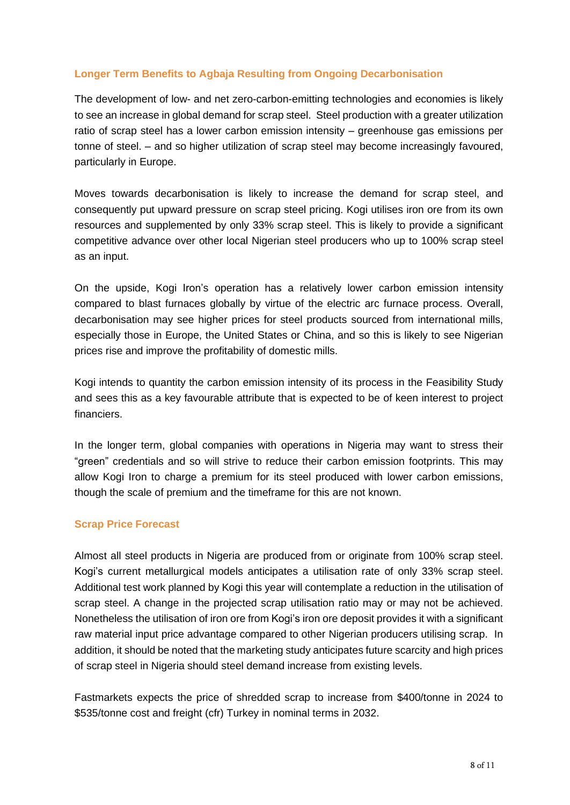#### **Longer Term Benefits to Agbaja Resulting from Ongoing Decarbonisation**

The development of low- and net zero-carbon-emitting technologies and economies is likely to see an increase in global demand for scrap steel. Steel production with a greater utilization ratio of scrap steel has a lower carbon emission intensity – greenhouse gas emissions per tonne of steel. – and so higher utilization of scrap steel may become increasingly favoured, particularly in Europe.

Moves towards decarbonisation is likely to increase the demand for scrap steel, and consequently put upward pressure on scrap steel pricing. Kogi utilises iron ore from its own resources and supplemented by only 33% scrap steel. This is likely to provide a significant competitive advance over other local Nigerian steel producers who up to 100% scrap steel as an input.

On the upside, Kogi Iron's operation has a relatively lower carbon emission intensity compared to blast furnaces globally by virtue of the electric arc furnace process. Overall, decarbonisation may see higher prices for steel products sourced from international mills, especially those in Europe, the United States or China, and so this is likely to see Nigerian prices rise and improve the profitability of domestic mills.

Kogi intends to quantity the carbon emission intensity of its process in the Feasibility Study and sees this as a key favourable attribute that is expected to be of keen interest to project financiers.

In the longer term, global companies with operations in Nigeria may want to stress their "green" credentials and so will strive to reduce their carbon emission footprints. This may allow Kogi Iron to charge a premium for its steel produced with lower carbon emissions, though the scale of premium and the timeframe for this are not known.

#### **Scrap Price Forecast**

Almost all steel products in Nigeria are produced from or originate from 100% scrap steel. Kogi's current metallurgical models anticipates a utilisation rate of only 33% scrap steel. Additional test work planned by Kogi this year will contemplate a reduction in the utilisation of scrap steel. A change in the projected scrap utilisation ratio may or may not be achieved. Nonetheless the utilisation of iron ore from Kogi's iron ore deposit provides it with a significant raw material input price advantage compared to other Nigerian producers utilising scrap. In addition, it should be noted that the marketing study anticipates future scarcity and high prices of scrap steel in Nigeria should steel demand increase from existing levels.

Fastmarkets expects the price of shredded scrap to increase from \$400/tonne in 2024 to \$535/tonne cost and freight (cfr) Turkey in nominal terms in 2032.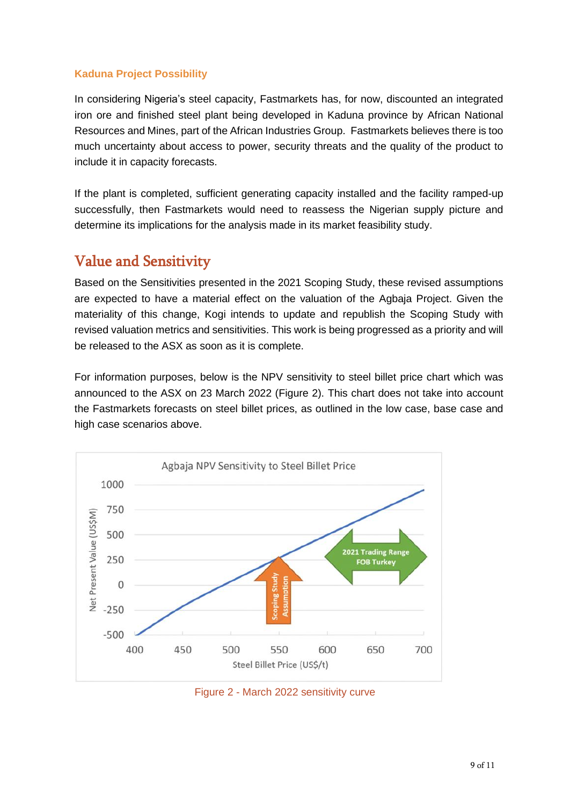#### **Kaduna Project Possibility**

In considering Nigeria's steel capacity, Fastmarkets has, for now, discounted an integrated iron ore and finished steel plant being developed in Kaduna province by African National Resources and Mines, part of the African Industries Group. Fastmarkets believes there is too much uncertainty about access to power, security threats and the quality of the product to include it in capacity forecasts.

If the plant is completed, sufficient generating capacity installed and the facility ramped-up successfully, then Fastmarkets would need to reassess the Nigerian supply picture and determine its implications for the analysis made in its market feasibility study.

### Value and Sensitivity

Based on the Sensitivities presented in the 2021 Scoping Study, these revised assumptions are expected to have a material effect on the valuation of the Agbaja Project. Given the materiality of this change, Kogi intends to update and republish the Scoping Study with revised valuation metrics and sensitivities. This work is being progressed as a priority and will be released to the ASX as soon as it is complete.

For information purposes, below is the NPV sensitivity to steel billet price chart which was announced to the ASX on 23 March 2022 (Figure 2). This chart does not take into account the Fastmarkets forecasts on steel billet prices, as outlined in the low case, base case and high case scenarios above.



Figure 2 - March 2022 sensitivity curve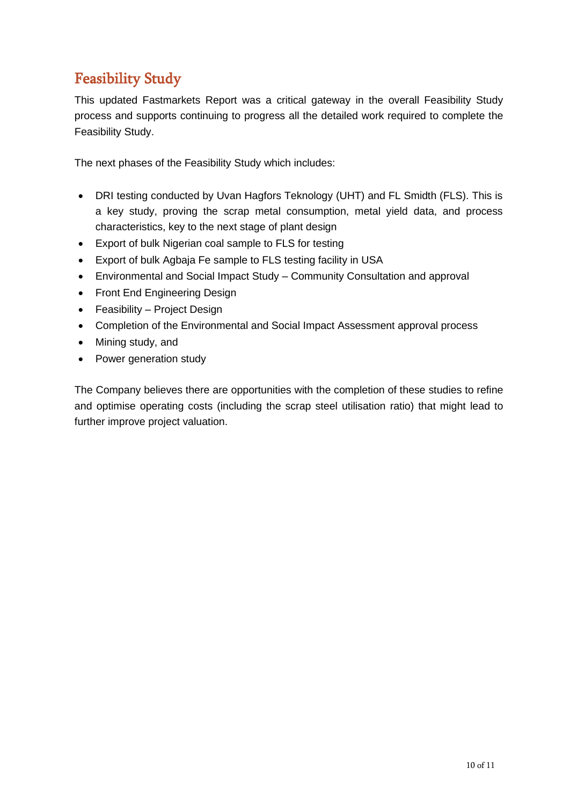## Feasibility Study

This updated Fastmarkets Report was a critical gateway in the overall Feasibility Study process and supports continuing to progress all the detailed work required to complete the Feasibility Study.

The next phases of the Feasibility Study which includes:

- DRI testing conducted by Uvan Hagfors Teknology (UHT) and FL Smidth (FLS). This is a key study, proving the scrap metal consumption, metal yield data, and process characteristics, key to the next stage of plant design
- Export of bulk Nigerian coal sample to FLS for testing
- Export of bulk Agbaja Fe sample to FLS testing facility in USA
- Environmental and Social Impact Study Community Consultation and approval
- Front End Engineering Design
- Feasibility Project Design
- Completion of the Environmental and Social Impact Assessment approval process
- Mining study, and
- Power generation study

The Company believes there are opportunities with the completion of these studies to refine and optimise operating costs (including the scrap steel utilisation ratio) that might lead to further improve project valuation.